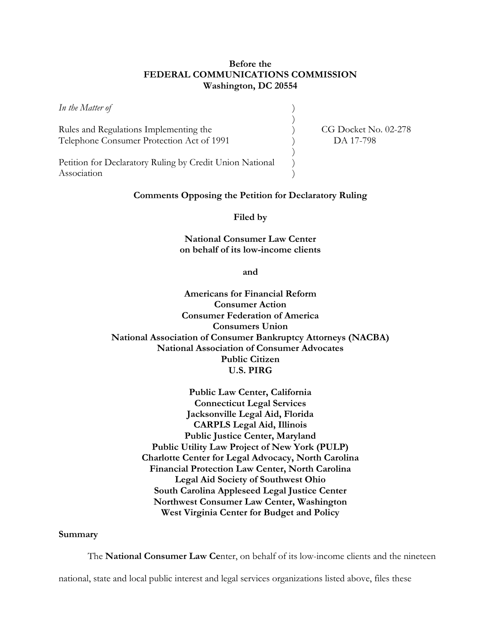#### **Before the FEDERAL COMMUNICATIONS COMMISSION Washington, DC 20554**

)

)

*In the Matter of* )

Rules and Regulations Implementing the  $\qquad \qquad$  (G Docket No. 02-278) Telephone Consumer Protection Act of 1991 (a) DA 17-798

Petition for Declaratory Ruling by Credit Union National ) Association )

#### **Comments Opposing the Petition for Declaratory Ruling**

**Filed by**

**National Consumer Law Center on behalf of its low-income clients** 

**and**

**Americans for Financial Reform Consumer Action Consumer Federation of America Consumers Union National Association of Consumer Bankruptcy Attorneys (NACBA) National Association of Consumer Advocates Public Citizen U.S. PIRG**

> **Public Law Center, California Connecticut Legal Services Jacksonville Legal Aid, Florida CARPLS Legal Aid, Illinois Public Justice Center, Maryland Public Utility Law Project of New York (PULP) Charlotte Center for Legal Advocacy, North Carolina Financial Protection Law Center, North Carolina Legal Aid Society of Southwest Ohio South Carolina Appleseed Legal Justice Center Northwest Consumer Law Center, Washington West Virginia Center for Budget and Policy**

#### **Summary**

The **National Consumer Law Ce**nter, on behalf of its low-income clients and the nineteen

national, state and local public interest and legal services organizations listed above, files these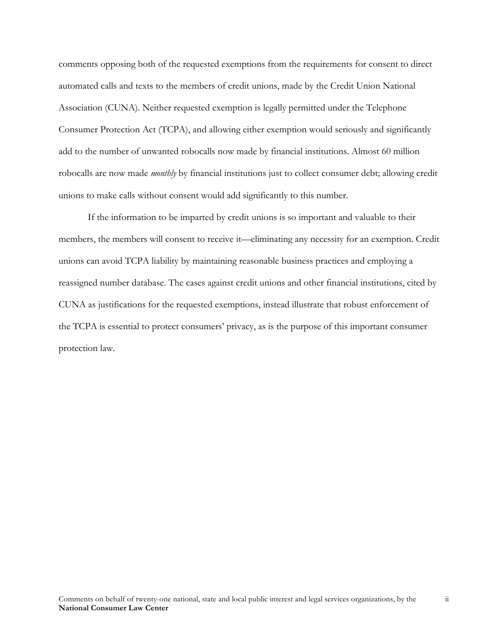comments opposing both of the requested exemptions from the requirements for consent to direct automated calls and texts to the members of credit unions, made by the Credit Union National Association (CUNA). Neither requested exemption is legally permitted under the Telephone Consumer Protection Act (TCPA), and allowing either exemption would seriously and significantly add to the number of unwanted robocalls now made by financial institutions. Almost 60 million robocalls are now made *monthly* by financial institutions just to collect consumer debt; allowing credit unions to make calls without consent would add significantly to this number.

If the information to be imparted by credit unions is so important and valuable to their members, the members will consent to receive it—eliminating any necessity for an exemption. Credit unions can avoid TCPA liability by maintaining reasonable business practices and employing a reassigned number database. The cases against credit unions and other financial institutions, cited by CUNA as justifications for the requested exemptions, instead illustrate that robust enforcement of the TCPA is essential to protect consumers' privacy, as is the purpose of this important consumer protection law.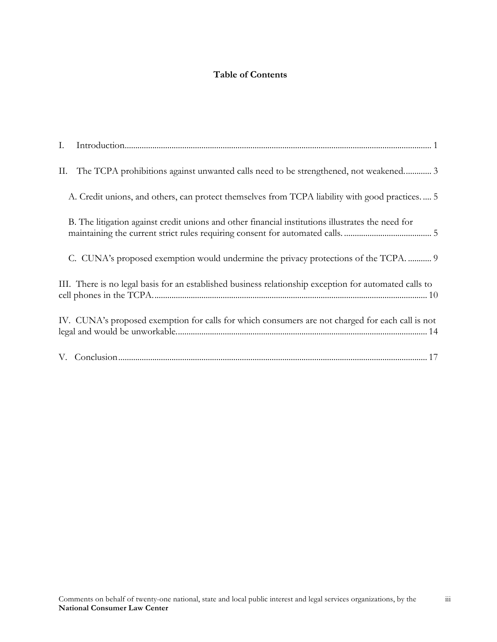## **Table of Contents**

| I.                                                                                                     |
|--------------------------------------------------------------------------------------------------------|
| II. The TCPA prohibitions against unwanted calls need to be strengthened, not weakened 3               |
| A. Credit unions, and others, can protect themselves from TCPA liability with good practices.  5       |
| B. The litigation against credit unions and other financial institutions illustrates the need for      |
| C. CUNA's proposed exemption would undermine the privacy protections of the TCPA.  9                   |
| III. There is no legal basis for an established business relationship exception for automated calls to |
| IV. CUNA's proposed exemption for calls for which consumers are not charged for each call is not       |
|                                                                                                        |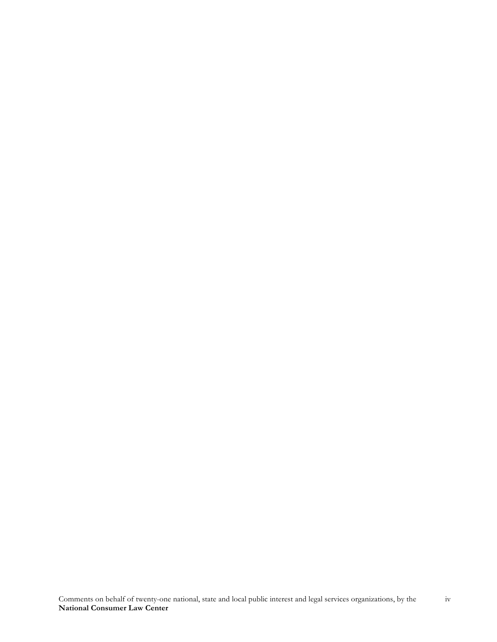iv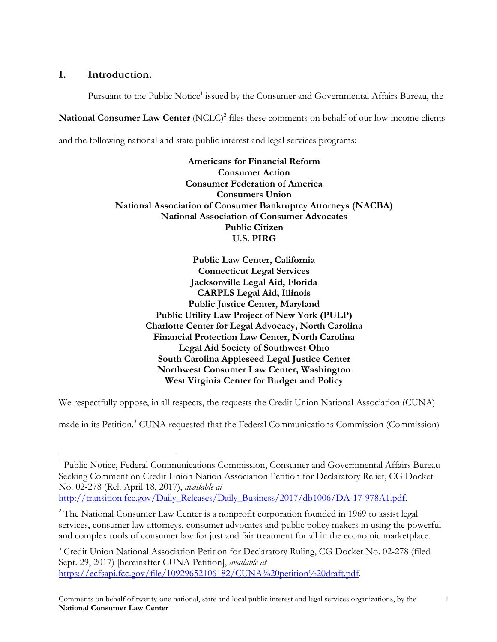### **I. Introduction.**

 $\overline{a}$ 

Pursuant to the Public Notice<sup>1</sup> issued by the Consumer and Governmental Affairs Bureau, the

National Consumer Law Center (NCLC)<sup>2</sup> files these comments on behalf of our low-income clients

and the following national and state public interest and legal services programs:

**Americans for Financial Reform Consumer Action Consumer Federation of America Consumers Union National Association of Consumer Bankruptcy Attorneys (NACBA) National Association of Consumer Advocates Public Citizen U.S. PIRG**

> **Public Law Center, California Connecticut Legal Services Jacksonville Legal Aid, Florida CARPLS Legal Aid, Illinois Public Justice Center, Maryland Public Utility Law Project of New York (PULP) Charlotte Center for Legal Advocacy, North Carolina Financial Protection Law Center, North Carolina Legal Aid Society of Southwest Ohio South Carolina Appleseed Legal Justice Center Northwest Consumer Law Center, Washington West Virginia Center for Budget and Policy**

We respectfully oppose, in all respects, the requests the Credit Union National Association (CUNA)

made in its Petition. <sup>3</sup> CUNA requested that the Federal Communications Commission (Commission)

<sup>&</sup>lt;sup>1</sup> Public Notice, Federal Communications Commission, Consumer and Governmental Affairs Bureau Seeking Comment on Credit Union Nation Association Petition for Declaratory Relief, CG Docket No. 02-278 (Rel. April 18, 2017), *available at* http://transition.fcc.gov/Daily\_Releases/Daily\_Business/2017/db1006/DA-17-978A1.pdf.

<sup>&</sup>lt;sup>2</sup> The National Consumer Law Center is a nonprofit corporation founded in 1969 to assist legal services, consumer law attorneys, consumer advocates and public policy makers in using the powerful and complex tools of consumer law for just and fair treatment for all in the economic marketplace.

<sup>&</sup>lt;sup>3</sup> Credit Union National Association Petition for Declaratory Ruling, CG Docket No. 02-278 (filed Sept. 29, 2017) [hereinafter CUNA Petition], *available at* https://ecfsapi.fcc.gov/file/10929652106182/CUNA%20petition%20draft.pdf.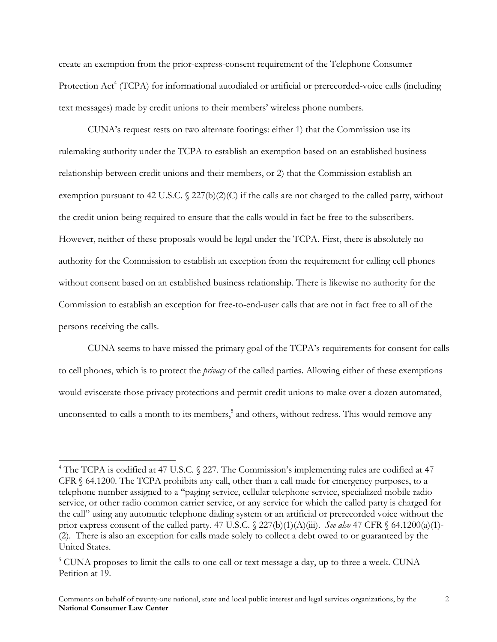create an exemption from the prior-express-consent requirement of the Telephone Consumer Protection Act<sup>4</sup> (TCPA) for informational autodialed or artificial or prerecorded-voice calls (including text messages) made by credit unions to their members' wireless phone numbers.

CUNA's request rests on two alternate footings: either 1) that the Commission use its rulemaking authority under the TCPA to establish an exemption based on an established business relationship between credit unions and their members, or 2) that the Commission establish an exemption pursuant to 42 U.S.C. § 227(b)(2)(C) if the calls are not charged to the called party, without the credit union being required to ensure that the calls would in fact be free to the subscribers. However, neither of these proposals would be legal under the TCPA. First, there is absolutely no authority for the Commission to establish an exception from the requirement for calling cell phones without consent based on an established business relationship. There is likewise no authority for the Commission to establish an exception for free-to-end-user calls that are not in fact free to all of the persons receiving the calls.

CUNA seems to have missed the primary goal of the TCPA's requirements for consent for calls to cell phones, which is to protect the *privacy* of the called parties. Allowing either of these exemptions would eviscerate those privacy protections and permit credit unions to make over a dozen automated, unconsented-to calls a month to its members,<sup>5</sup> and others, without redress. This would remove any

<sup>&</sup>lt;sup>4</sup> The TCPA is codified at 47 U.S.C. § 227. The Commission's implementing rules are codified at 47 CFR § 64.1200. The TCPA prohibits any call, other than a call made for emergency purposes, to a telephone number assigned to a "paging service, cellular telephone service, specialized mobile radio service, or other radio common carrier service, or any service for which the called party is charged for the call" using any automatic telephone dialing system or an artificial or prerecorded voice without the prior express consent of the called party. 47 U.S.C. § 227(b)(1)(A)(iii). *See also* 47 CFR § 64.1200(a)(1)- (2). There is also an exception for calls made solely to collect a debt owed to or guaranteed by the United States.

<sup>&</sup>lt;sup>5</sup> CUNA proposes to limit the calls to one call or text message a day, up to three a week. CUNA Petition at 19.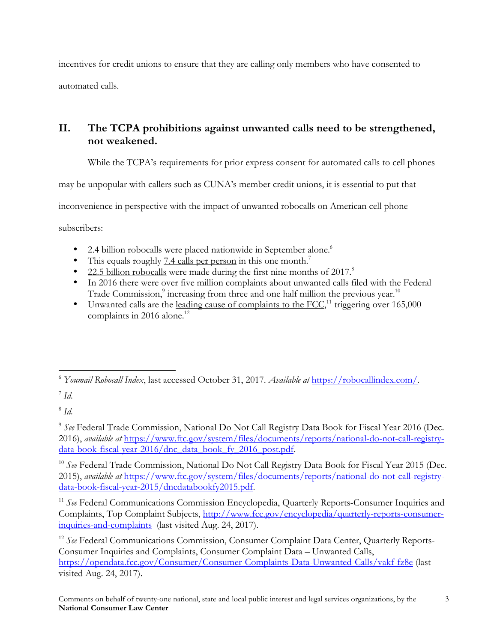incentives for credit unions to ensure that they are calling only members who have consented to automated calls.

# **II. The TCPA prohibitions against unwanted calls need to be strengthened, not weakened.**

While the TCPA's requirements for prior express consent for automated calls to cell phones

may be unpopular with callers such as CUNA's member credit unions, it is essential to put that

inconvenience in perspective with the impact of unwanted robocalls on American cell phone

subscribers:

- 2.4 billion robocalls were placed nationwide in September alone.<sup>6</sup>
- This equals roughly 7.4 calls per person in this one month.<sup>7</sup>
- 22.5 billion robocalls were made during the first nine months of  $2017<sup>8</sup>$
- In 2016 there were over five million complaints about unwanted calls filed with the Federal Trade Commission,<sup>9</sup> increasing from three and one half million the previous year.<sup>10</sup>
- Unwanted calls are the leading cause of complaints to the FCC,<sup>11</sup> triggering over  $165,000$ complaints in 2016 alone.<sup>12</sup>

<sup>9</sup> *See* Federal Trade Commission, National Do Not Call Registry Data Book for Fiscal Year 2016 (Dec. 2016), *available at* https://www.ftc.gov/system/files/documents/reports/national-do-not-call-registrydata-book-fiscal-year-2016/dnc\_data\_book\_fy\_2016\_post.pdf.

<sup>10</sup> See Federal Trade Commission, National Do Not Call Registry Data Book for Fiscal Year 2015 (Dec. 2015), *available at* https://www.ftc.gov/system/files/documents/reports/national-do-not-call-registrydata-book-fiscal-year-2015/dncdatabookfy2015.pdf.

<sup>11</sup> See Federal Communications Commission Encyclopedia, Quarterly Reports-Consumer Inquiries and Complaints, Top Complaint Subjects, http://www.fcc.gov/encyclopedia/quarterly-reports-consumerinquiries-and-complaints (last visited Aug. 24, 2017).

<sup>12</sup> See Federal Communications Commission, Consumer Complaint Data Center, Quarterly Reports-Consumer Inquiries and Complaints, Consumer Complaint Data – Unwanted Calls, https://opendata.fcc.gov/Consumer/Consumer-Complaints-Data-Unwanted-Calls/vakf-fz8e (last visited Aug. 24, 2017).

 $\overline{a}$ <sup>6</sup> *Youmail Robocall Index*, last accessed October 31, 2017. *Available at* https://robocallindex.com/.

<sup>7</sup> *Id.*

<sup>8</sup> *Id.*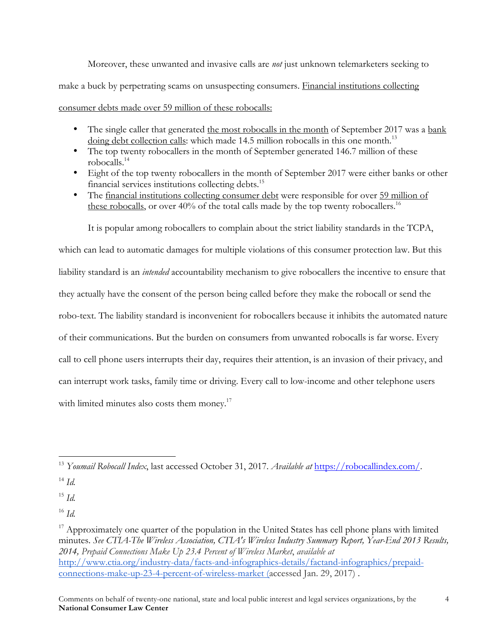Moreover, these unwanted and invasive calls are *not* just unknown telemarketers seeking to make a buck by perpetrating scams on unsuspecting consumers. Financial institutions collecting consumer debts made over 59 million of these robocalls:

- The single caller that generated the most robocalls in the month of September 2017 was a bank doing debt collection calls: which made 14.5 million robocalls in this one month.<sup>13</sup>
- The top twenty robocallers in the month of September generated 146.7 million of these robocalls.14
- Eight of the top twenty robocallers in the month of September 2017 were either banks or other financial services institutions collecting debts.<sup>15</sup>
- The financial institutions collecting consumer debt were responsible for over 59 million of these robocalls, or over  $40\%$  of the total calls made by the top twenty robocallers.<sup>16</sup>

It is popular among robocallers to complain about the strict liability standards in the TCPA,

which can lead to automatic damages for multiple violations of this consumer protection law. But this liability standard is an *intended* accountability mechanism to give robocallers the incentive to ensure that they actually have the consent of the person being called before they make the robocall or send the robo-text. The liability standard is inconvenient for robocallers because it inhibits the automated nature of their communications. But the burden on consumers from unwanted robocalls is far worse. Every call to cell phone users interrupts their day, requires their attention, is an invasion of their privacy, and can interrupt work tasks, family time or driving. Every call to low-income and other telephone users with limited minutes also costs them money.<sup>17</sup>

 $\overline{a}$ <sup>13</sup> *Youmail Robocall Index*, last accessed October 31, 2017. *Available at* https://robocallindex.com/.

<sup>14</sup> *Id.*

<sup>15</sup> *Id.*

<sup>16</sup> *Id.*

 $17$  Approximately one quarter of the population in the United States has cell phone plans with limited minutes. *See CTIA-The Wireless Association, CTIA's Wireless Industry Summary Report, Year-End 2013 Results, 2014, Prepaid Connections Make Up 23.4 Percent of Wireless Market*, *available at* http://www.ctia.org/industry-data/facts-and-infographics-details/factand-infographics/prepaidconnections-make-up-23-4-percent-of-wireless-market (accessed Jan. 29, 2017) .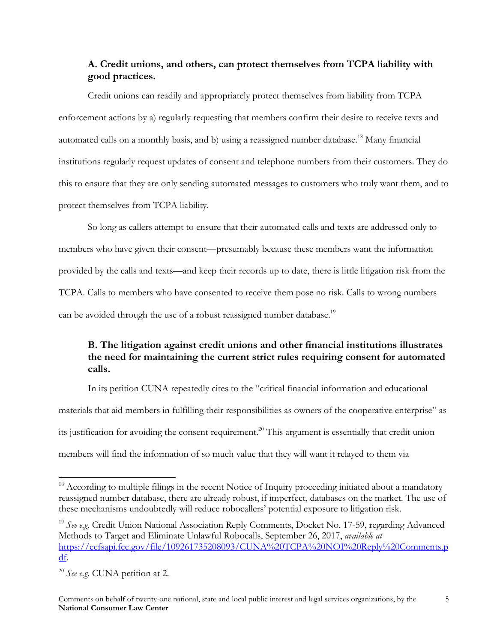### **A. Credit unions, and others, can protect themselves from TCPA liability with good practices.**

Credit unions can readily and appropriately protect themselves from liability from TCPA enforcement actions by a) regularly requesting that members confirm their desire to receive texts and automated calls on a monthly basis, and b) using a reassigned number database.<sup>18</sup> Many financial institutions regularly request updates of consent and telephone numbers from their customers. They do this to ensure that they are only sending automated messages to customers who truly want them, and to protect themselves from TCPA liability.

So long as callers attempt to ensure that their automated calls and texts are addressed only to members who have given their consent—presumably because these members want the information provided by the calls and texts—and keep their records up to date, there is little litigation risk from the TCPA. Calls to members who have consented to receive them pose no risk. Calls to wrong numbers can be avoided through the use of a robust reassigned number database.<sup>19</sup>

### **B. The litigation against credit unions and other financial institutions illustrates the need for maintaining the current strict rules requiring consent for automated calls.**

In its petition CUNA repeatedly cites to the "critical financial information and educational materials that aid members in fulfilling their responsibilities as owners of the cooperative enterprise" as its justification for avoiding the consent requirement.<sup>20</sup> This argument is essentially that credit union members will find the information of so much value that they will want it relayed to them via

<sup>&</sup>lt;sup>18</sup> According to multiple filings in the recent Notice of Inquiry proceeding initiated about a mandatory reassigned number database, there are already robust, if imperfect, databases on the market. The use of these mechanisms undoubtedly will reduce robocallers' potential exposure to litigation risk.

<sup>&</sup>lt;sup>19</sup> See e.g. Credit Union National Association Reply Comments, Docket No. 17-59, regarding Advanced Methods to Target and Eliminate Unlawful Robocalls, September 26, 2017, *available at* https://ecfsapi.fcc.gov/file/109261735208093/CUNA%20TCPA%20NOI%20Reply%20Comments.p df.

<sup>20</sup> *See e.g.* CUNA petition at 2.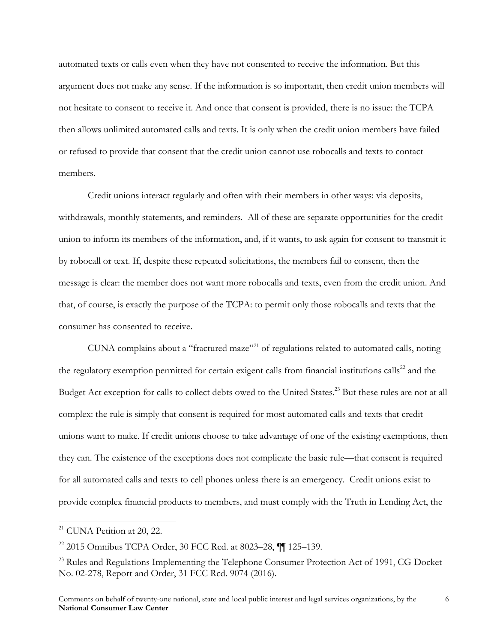automated texts or calls even when they have not consented to receive the information. But this argument does not make any sense. If the information is so important, then credit union members will not hesitate to consent to receive it. And once that consent is provided, there is no issue: the TCPA then allows unlimited automated calls and texts. It is only when the credit union members have failed or refused to provide that consent that the credit union cannot use robocalls and texts to contact members.

Credit unions interact regularly and often with their members in other ways: via deposits, withdrawals, monthly statements, and reminders. All of these are separate opportunities for the credit union to inform its members of the information, and, if it wants, to ask again for consent to transmit it by robocall or text. If, despite these repeated solicitations, the members fail to consent, then the message is clear: the member does not want more robocalls and texts, even from the credit union. And that, of course, is exactly the purpose of the TCPA: to permit only those robocalls and texts that the consumer has consented to receive.

CUNA complains about a "fractured maze"<sup>21</sup> of regulations related to automated calls, noting the regulatory exemption permitted for certain exigent calls from financial institutions calls<sup>22</sup> and the Budget Act exception for calls to collect debts owed to the United States.<sup>23</sup> But these rules are not at all complex: the rule is simply that consent is required for most automated calls and texts that credit unions want to make. If credit unions choose to take advantage of one of the existing exemptions, then they can. The existence of the exceptions does not complicate the basic rule—that consent is required for all automated calls and texts to cell phones unless there is an emergency. Credit unions exist to provide complex financial products to members, and must comply with the Truth in Lending Act, the

<sup>&</sup>lt;sup>21</sup> CUNA Petition at 20, 22.

<sup>22</sup> 2015 Omnibus TCPA Order, 30 FCC Rcd. at 8023–28, ¶¶ 125–139.

<sup>&</sup>lt;sup>23</sup> Rules and Regulations Implementing the Telephone Consumer Protection Act of 1991, CG Docket No. 02-278, Report and Order, 31 FCC Rcd. 9074 (2016).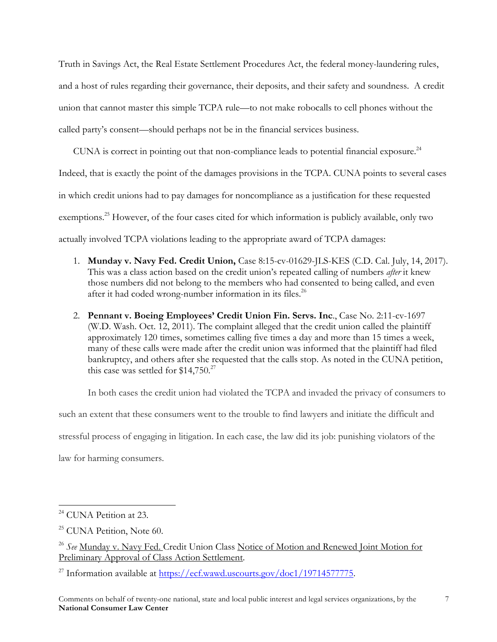Truth in Savings Act, the Real Estate Settlement Procedures Act, the federal money-laundering rules, and a host of rules regarding their governance, their deposits, and their safety and soundness. A credit union that cannot master this simple TCPA rule—to not make robocalls to cell phones without the called party's consent—should perhaps not be in the financial services business.

CUNA is correct in pointing out that non-compliance leads to potential financial exposure.<sup>24</sup> Indeed, that is exactly the point of the damages provisions in the TCPA. CUNA points to several cases in which credit unions had to pay damages for noncompliance as a justification for these requested exemptions.<sup>25</sup> However, of the four cases cited for which information is publicly available, only two actually involved TCPA violations leading to the appropriate award of TCPA damages:

- 1. **Munday v. Navy Fed. Credit Union,** Case 8:15-cv-01629-JLS-KES (C.D. Cal. July, 14, 2017). This was a class action based on the credit union's repeated calling of numbers *after* it knew those numbers did not belong to the members who had consented to being called, and even after it had coded wrong-number information in its files.<sup>26</sup>
- 2. **Pennant v. Boeing Employees' Credit Union Fin. Servs. Inc**., Case No. 2:11-cv-1697 (W.D. Wash. Oct. 12, 2011). The complaint alleged that the credit union called the plaintiff approximately 120 times, sometimes calling five times a day and more than 15 times a week, many of these calls were made after the credit union was informed that the plaintiff had filed bankruptcy, and others after she requested that the calls stop. As noted in the CUNA petition, this case was settled for  $$14,750.^{27}$

In both cases the credit union had violated the TCPA and invaded the privacy of consumers to

such an extent that these consumers went to the trouble to find lawyers and initiate the difficult and

stressful process of engaging in litigation. In each case, the law did its job: punishing violators of the

law for harming consumers.

<sup>&</sup>lt;sup>24</sup> CUNA Petition at 23.

<sup>&</sup>lt;sup>25</sup> CUNA Petition, Note 60.

<sup>26</sup> *See* Munday v. Navy Fed. Credit Union Class Notice of Motion and Renewed Joint Motion for Preliminary Approval of Class Action Settlement.

<sup>&</sup>lt;sup>27</sup> Information available at https://ecf.wawd.uscourts.gov/doc1/19714577775.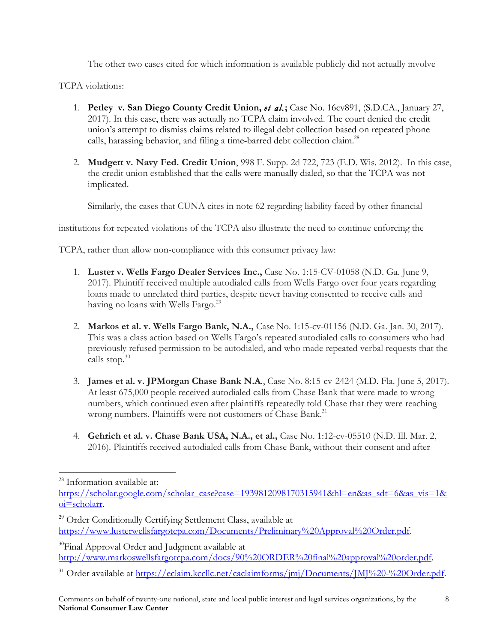The other two cases cited for which information is available publicly did not actually involve

TCPA violations:

- 1. **Petley v. San Diego County Credit Union,** *et al.***;** Case No. 16cv891, (S.D.CA., January 27, 2017). In this case, there was actually no TCPA claim involved. The court denied the credit union's attempt to dismiss claims related to illegal debt collection based on repeated phone calls, harassing behavior, and filing a time-barred debt collection claim.<sup>28</sup>
- 2. **Mudgett v. Navy Fed. Credit Union**, 998 F. Supp. 2d 722, 723 (E.D. Wis. 2012). In this case, the credit union established that the calls were manually dialed, so that the TCPA was not implicated.

Similarly, the cases that CUNA cites in note 62 regarding liability faced by other financial

institutions for repeated violations of the TCPA also illustrate the need to continue enforcing the

TCPA, rather than allow non-compliance with this consumer privacy law:

- 1. **Luster v. Wells Fargo Dealer Services Inc.,** Case No. 1:15-CV-01058 (N.D. Ga. June 9, 2017). Plaintiff received multiple autodialed calls from Wells Fargo over four years regarding loans made to unrelated third parties, despite never having consented to receive calls and having no loans with Wells Fargo.<sup>29</sup>
- 2. **Markos et al. v. Wells Fargo Bank, N.A.,** Case No. 1:15-cv-01156 (N.D. Ga. Jan. 30, 2017). This was a class action based on Wells Fargo's repeated autodialed calls to consumers who had previously refused permission to be autodialed, and who made repeated verbal requests that the calls stop.<sup>30</sup>
- 3. **James et al. v. JPMorgan Chase Bank N.A***.*, Case No. 8:15-cv-2424 (M.D. Fla. June 5, 2017). At least 675,000 people received autodialed calls from Chase Bank that were made to wrong numbers, which continued even after plaintiffs repeatedly told Chase that they were reaching wrong numbers. Plaintiffs were not customers of Chase Bank.<sup>31</sup>
- 4. **Gehrich et al. v. Chase Bank USA, N.A., et al.,** Case No. 1:12-cv-05510 (N.D. Ill. Mar. 2, 2016). Plaintiffs received autodialed calls from Chase Bank, without their consent and after

 $\overline{a}$ 

<sup>31</sup> Order available at https://eclaim.kccllc.net/caclaimforms/jmj/Documents/JMJ%20-%20Order.pdf.

<sup>28</sup> Information available at:

https://scholar.google.com/scholar\_case?case=1939812098170315941&hl=en&as\_sdt=6&as\_vis=1& oi=scholarr.

<sup>&</sup>lt;sup>29</sup> Order Conditionally Certifying Settlement Class, available at https://www.lusterwellsfargotcpa.com/Documents/Preliminary%20Approval%20Order.pdf.

<sup>&</sup>lt;sup>30</sup>Final Approval Order and Judgment available at http://www.markoswellsfargotcpa.com/docs/90%20ORDER%20final%20approval%20order.pdf.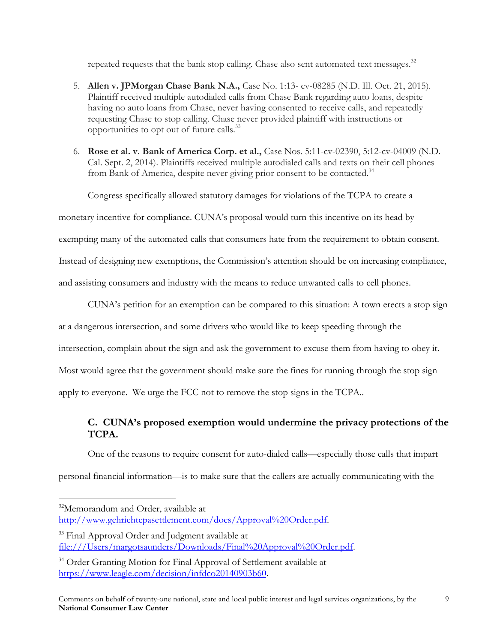repeated requests that the bank stop calling. Chase also sent automated text messages.<sup>32</sup>

- 5. **Allen v. JPMorgan Chase Bank N.A.,** Case No. 1:13- cv-08285 (N.D. Ill. Oct. 21, 2015). Plaintiff received multiple autodialed calls from Chase Bank regarding auto loans, despite having no auto loans from Chase, never having consented to receive calls, and repeatedly requesting Chase to stop calling. Chase never provided plaintiff with instructions or opportunities to opt out of future calls.33
- 6. **Rose et al. v. Bank of America Corp. et al.,** Case Nos. 5:11-cv-02390, 5:12-cv-04009 (N.D. Cal. Sept. 2, 2014). Plaintiffs received multiple autodialed calls and texts on their cell phones from Bank of America, despite never giving prior consent to be contacted.<sup>34</sup>

Congress specifically allowed statutory damages for violations of the TCPA to create a

monetary incentive for compliance. CUNA's proposal would turn this incentive on its head by

exempting many of the automated calls that consumers hate from the requirement to obtain consent.

Instead of designing new exemptions, the Commission's attention should be on increasing compliance,

and assisting consumers and industry with the means to reduce unwanted calls to cell phones.

CUNA's petition for an exemption can be compared to this situation: A town erects a stop sign

at a dangerous intersection, and some drivers who would like to keep speeding through the

intersection, complain about the sign and ask the government to excuse them from having to obey it.

Most would agree that the government should make sure the fines for running through the stop sign

apply to everyone. We urge the FCC not to remove the stop signs in the TCPA..

## **C. CUNA's proposed exemption would undermine the privacy protections of the TCPA.**

One of the reasons to require consent for auto-dialed calls—especially those calls that impart

personal financial information—is to make sure that the callers are actually communicating with the

 $\overline{a}$ 

http://www.gehrichtcpasettlement.com/docs/Approval%20Order.pdf.

<sup>&</sup>lt;sup>32</sup>Memorandum and Order, available at

<sup>&</sup>lt;sup>33</sup> Final Approval Order and Judgment available at file:///Users/margotsaunders/Downloads/Final%20Approval%20Order.pdf.

<sup>&</sup>lt;sup>34</sup> Order Granting Motion for Final Approval of Settlement available at https://www.leagle.com/decision/infdco20140903b60.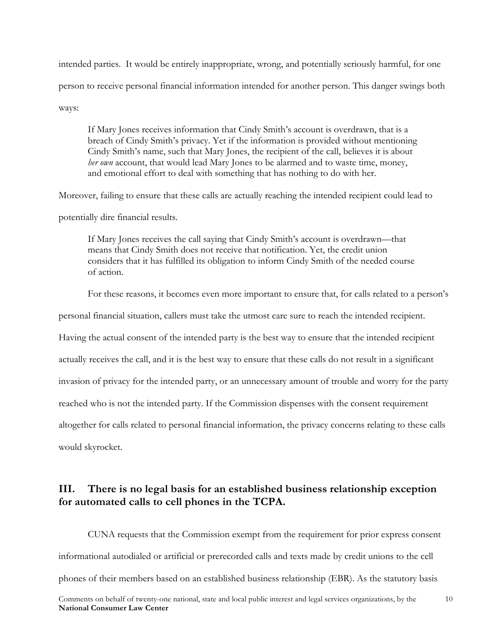intended parties. It would be entirely inappropriate, wrong, and potentially seriously harmful, for one person to receive personal financial information intended for another person. This danger swings both ways:

If Mary Jones receives information that Cindy Smith's account is overdrawn, that is a breach of Cindy Smith's privacy. Yet if the information is provided without mentioning Cindy Smith's name, such that Mary Jones, the recipient of the call, believes it is about *her own* account, that would lead Mary Jones to be alarmed and to waste time, money, and emotional effort to deal with something that has nothing to do with her.

Moreover, failing to ensure that these calls are actually reaching the intended recipient could lead to potentially dire financial results.

If Mary Jones receives the call saying that Cindy Smith's account is overdrawn—that means that Cindy Smith does not receive that notification. Yet, the credit union considers that it has fulfilled its obligation to inform Cindy Smith of the needed course of action.

For these reasons, it becomes even more important to ensure that, for calls related to a person's

personal financial situation, callers must take the utmost care sure to reach the intended recipient.

Having the actual consent of the intended party is the best way to ensure that the intended recipient

actually receives the call, and it is the best way to ensure that these calls do not result in a significant

invasion of privacy for the intended party, or an unnecessary amount of trouble and worry for the party

reached who is not the intended party. If the Commission dispenses with the consent requirement

altogether for calls related to personal financial information, the privacy concerns relating to these calls

would skyrocket.

# **III. There is no legal basis for an established business relationship exception for automated calls to cell phones in the TCPA.**

CUNA requests that the Commission exempt from the requirement for prior express consent informational autodialed or artificial or prerecorded calls and texts made by credit unions to the cell phones of their members based on an established business relationship (EBR). As the statutory basis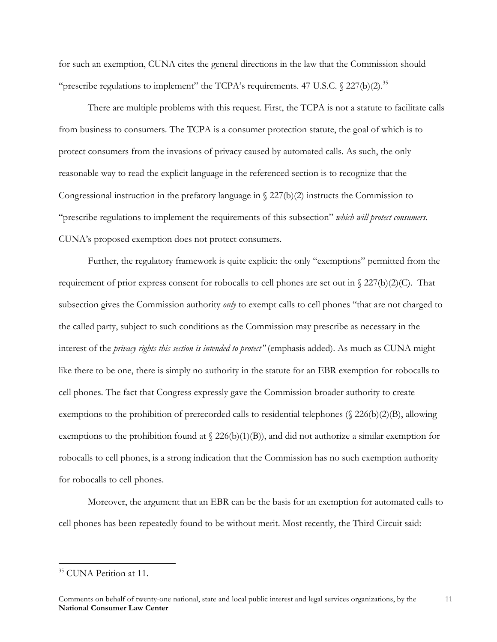for such an exemption, CUNA cites the general directions in the law that the Commission should "prescribe regulations to implement" the TCPA's requirements. 47 U.S.C.  $\frac{227(b)(2)^{35}}{27}$ 

There are multiple problems with this request. First, the TCPA is not a statute to facilitate calls from business to consumers. The TCPA is a consumer protection statute, the goal of which is to protect consumers from the invasions of privacy caused by automated calls. As such, the only reasonable way to read the explicit language in the referenced section is to recognize that the Congressional instruction in the prefatory language in § 227(b)(2) instructs the Commission to "prescribe regulations to implement the requirements of this subsection" *which will protect consumers.* CUNA's proposed exemption does not protect consumers.

Further, the regulatory framework is quite explicit: the only "exemptions" permitted from the requirement of prior express consent for robocalls to cell phones are set out in  $\frac{227(b)(2)(C)}{C}$ . That subsection gives the Commission authority *only* to exempt calls to cell phones "that are not charged to the called party, subject to such conditions as the Commission may prescribe as necessary in the interest of the *privacy rights this section is intended to protect"* (emphasis added). As much as CUNA might like there to be one, there is simply no authority in the statute for an EBR exemption for robocalls to cell phones. The fact that Congress expressly gave the Commission broader authority to create exemptions to the prohibition of prerecorded calls to residential telephones (§ 226(b)(2)(B), allowing exemptions to the prohibition found at  $\S 226(b)(1)(B)$ , and did not authorize a similar exemption for robocalls to cell phones, is a strong indication that the Commission has no such exemption authority for robocalls to cell phones.

Moreover, the argument that an EBR can be the basis for an exemption for automated calls to cell phones has been repeatedly found to be without merit. Most recently, the Third Circuit said:

 $\overline{a}$ 

11

<sup>&</sup>lt;sup>35</sup> CUNA Petition at 11.

Comments on behalf of twenty-one national, state and local public interest and legal services organizations, by the **National Consumer Law Center**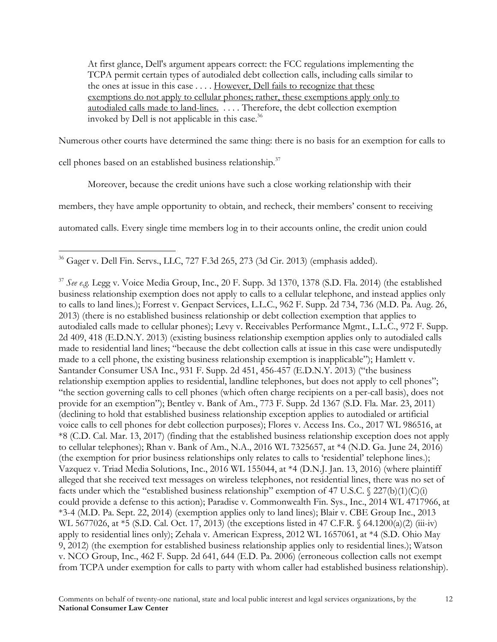At first glance, Dell's argument appears correct: the FCC regulations implementing the TCPA permit certain types of autodialed debt collection calls, including calls similar to the ones at issue in this case *. . .* . However, Dell fails to recognize that these exemptions do not apply to cellular phones; rather, these exemptions apply only to autodialed calls made to land-lines. *. . . .* Therefore, the debt collection exemption invoked by Dell is not applicable in this case.<sup>36</sup>

Numerous other courts have determined the same thing: there is no basis for an exemption for calls to

cell phones based on an established business relationship.<sup>37</sup>

Moreover, because the credit unions have such a close working relationship with their

members, they have ample opportunity to obtain, and recheck, their members' consent to receiving

automated calls. Every single time members log in to their accounts online, the credit union could

 $\overline{a}$  $36$  Gager v. Dell Fin. Servs., LLC, 727 F.3d 265, 273 (3d Cir. 2013) (emphasis added).

12

<sup>&</sup>lt;sup>37</sup> See e.g. Legg v. Voice Media Group, Inc., 20 F. Supp. 3d 1370, 1378 (S.D. Fla. 2014) (the established business relationship exemption does not apply to calls to a cellular telephone, and instead applies only to calls to land lines.); Forrest v. Genpact Services, L.L.C., 962 F. Supp. 2d 734, 736 (M.D. Pa. Aug. 26, 2013) (there is no established business relationship or debt collection exemption that applies to autodialed calls made to cellular phones); Levy v. Receivables Performance Mgmt., L.L.C., 972 F. Supp. 2d 409, 418 (E.D.N.Y. 2013) (existing business relationship exemption applies only to autodialed calls made to residential land lines; "because the debt collection calls at issue in this case were undisputedly made to a cell phone, the existing business relationship exemption is inapplicable"); Hamlett v. Santander Consumer USA Inc., 931 F. Supp. 2d 451, 456-457 (E.D.N.Y. 2013) ("the business relationship exemption applies to residential, landline telephones, but does not apply to cell phones"; "the section governing calls to cell phones (which often charge recipients on a per-call basis), does not provide for an exemption"); Bentley v. Bank of Am., 773 F. Supp. 2d 1367 (S.D. Fla. Mar. 23, 2011) (declining to hold that established business relationship exception applies to autodialed or artificial voice calls to cell phones for debt collection purposes); Flores v. Access Ins. Co., 2017 WL 986516, at \*8 (C.D. Cal. Mar. 13, 2017) (finding that the established business relationship exception does not apply to cellular telephones); Rhan v. Bank of Am., N.A., 2016 WL 7325657, at \*4 (N.D. Ga. June 24, 2016) (the exemption for prior business relationships only relates to calls to 'residential' telephone lines.); Vazquez v. Triad Media Solutions, Inc., 2016 WL 155044, at \*4 (D.N.J. Jan. 13, 2016) (where plaintiff alleged that she received text messages on wireless telephones, not residential lines, there was no set of facts under which the "established business relationship" exemption of 47 U.S.C.  $\frac{227(b)(1)(C)(i)}{27}$ could provide a defense to this action); Paradise v. Commonwealth Fin. Sys., Inc., 2014 WL 4717966, at \*3-4 (M.D. Pa. Sept. 22, 2014) (exemption applies only to land lines); Blair v. CBE Group Inc., 2013 WL 5677026, at  $*5$  (S.D. Cal. Oct. 17, 2013) (the exceptions listed in 47 C.F.R. § 64.1200(a)(2) (iii-iv) apply to residential lines only); Zehala v. American Express, 2012 WL 1657061, at \*4 (S.D. Ohio May 9, 2012) (the exemption for established business relationship applies only to residential lines.); Watson v. NCO Group, Inc., 462 F. Supp. 2d 641, 644 (E.D. Pa. 2006) (erroneous collection calls not exempt from TCPA under exemption for calls to party with whom caller had established business relationship).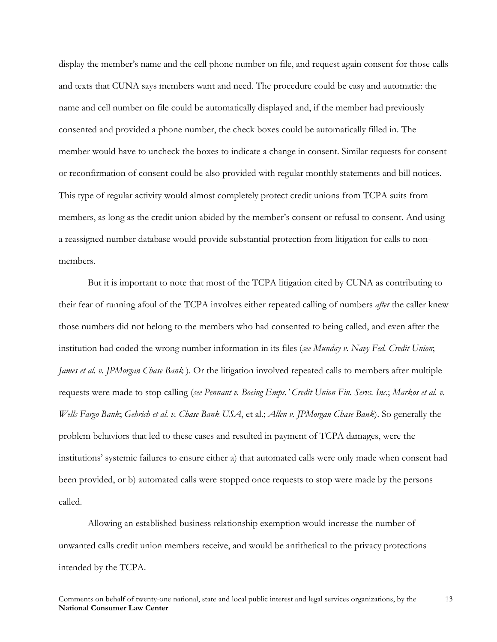display the member's name and the cell phone number on file, and request again consent for those calls and texts that CUNA says members want and need. The procedure could be easy and automatic: the name and cell number on file could be automatically displayed and, if the member had previously consented and provided a phone number, the check boxes could be automatically filled in. The member would have to uncheck the boxes to indicate a change in consent. Similar requests for consent or reconfirmation of consent could be also provided with regular monthly statements and bill notices. This type of regular activity would almost completely protect credit unions from TCPA suits from members, as long as the credit union abided by the member's consent or refusal to consent. And using a reassigned number database would provide substantial protection from litigation for calls to nonmembers.

But it is important to note that most of the TCPA litigation cited by CUNA as contributing to their fear of running afoul of the TCPA involves either repeated calling of numbers *after* the caller knew those numbers did not belong to the members who had consented to being called, and even after the institution had coded the wrong number information in its files (*see Munday v. Navy Fed. Credit Union*; *James et al. v. JPMorgan Chase Bank*). Or the litigation involved repeated calls to members after multiple requests were made to stop calling (*see Pennant v. Boeing Emps.' Credit Union Fin. Servs. Inc*.; *Markos et al. v. Wells Fargo Bank*; *Gehrich et al. v. Chase Bank USA*, et al.; *Allen v. JPMorgan Chase Bank*). So generally the problem behaviors that led to these cases and resulted in payment of TCPA damages, were the institutions' systemic failures to ensure either a) that automated calls were only made when consent had been provided, or b) automated calls were stopped once requests to stop were made by the persons called.

Allowing an established business relationship exemption would increase the number of unwanted calls credit union members receive, and would be antithetical to the privacy protections intended by the TCPA.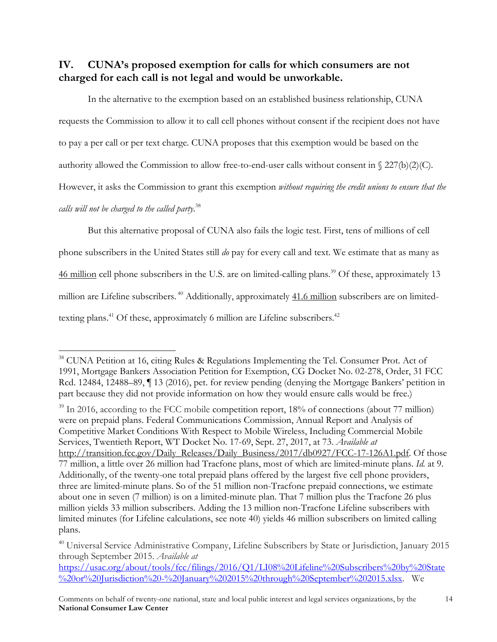## **IV. CUNA's proposed exemption for calls for which consumers are not charged for each call is not legal and would be unworkable.**

In the alternative to the exemption based on an established business relationship, CUNA requests the Commission to allow it to call cell phones without consent if the recipient does not have to pay a per call or per text charge. CUNA proposes that this exemption would be based on the authority allowed the Commission to allow free-to-end-user calls without consent in § 227(b)(2)(C). However, it asks the Commission to grant this exemption *without requiring the credit unions to ensure that the calls will not be charged to the called party*. 38

But this alternative proposal of CUNA also fails the logic test. First, tens of millions of cell phone subscribers in the United States still *do* pay for every call and text. We estimate that as many as 46 million cell phone subscribers in the U.S. are on limited-calling plans.<sup>39</sup> Of these, approximately 13 million are Lifeline subscribers. 40 Additionally, approximately 41.6 million subscribers are on limitedtexting plans.<sup>41</sup> Of these, approximately 6 million are Lifeline subscribers.<sup>42</sup>

<sup>39</sup> In 2016, according to the FCC mobile competition report, 18% of connections (about 77 million) were on prepaid plans. Federal Communications Commission, Annual Report and Analysis of Competitive Market Conditions With Respect to Mobile Wireless, Including Commercial Mobile Services, Twentieth Report, WT Docket No. 17-69, Sept. 27, 2017, at 73. *Available at* http://transition.fcc.gov/Daily\_Releases/Daily\_Business/2017/db0927/FCC-17-126A1.pdf. Of those 77 million, a little over 26 million had Tracfone plans, most of which are limited-minute plans. *Id.* at 9. Additionally, of the twenty-one total prepaid plans offered by the largest five cell phone providers, three are limited-minute plans. So of the 51 million non-Tracfone prepaid connections, we estimate about one in seven (7 million) is on a limited-minute plan. That 7 million plus the Tracfone 26 plus million yields 33 million subscribers. Adding the 13 million non-Tracfone Lifeline subscribers with limited minutes (for Lifeline calculations, see note 40) yields 46 million subscribers on limited calling plans.

https://usac.org/about/tools/fcc/filings/2016/Q1/LI08%20Lifeline%20Subscribers%20by%20State %20or%20Jurisdiction%20-%20January%202015%20through%20September%202015.xlsx. We

 $\overline{a}$ <sup>38</sup> CUNA Petition at 16, citing Rules & Regulations Implementing the Tel. Consumer Prot. Act of 1991, Mortgage Bankers Association Petition for Exemption, CG Docket No. 02-278, Order, 31 FCC Rcd. 12484, 12488–89, ¶ 13 (2016), pet. for review pending (denying the Mortgage Bankers' petition in part because they did not provide information on how they would ensure calls would be free.)

<sup>40</sup> Universal Service Administrative Company, Lifeline Subscribers by State or Jurisdiction, January 2015 through September 2015. *Available at*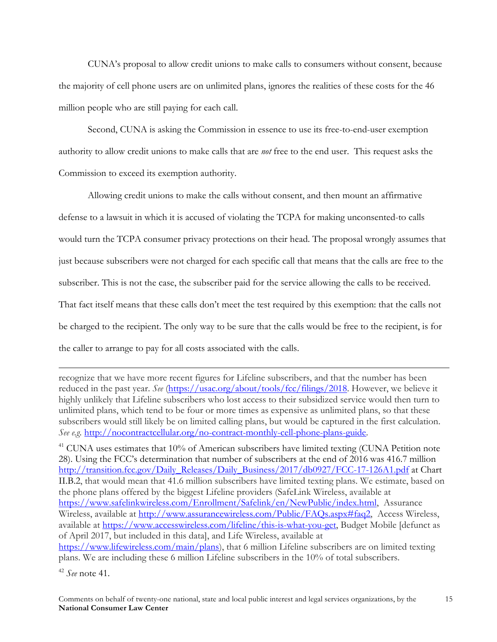CUNA's proposal to allow credit unions to make calls to consumers without consent, because the majority of cell phone users are on unlimited plans, ignores the realities of these costs for the 46 million people who are still paying for each call.

Second, CUNA is asking the Commission in essence to use its free-to-end-user exemption authority to allow credit unions to make calls that are *not* free to the end user. This request asks the Commission to exceed its exemption authority.

Allowing credit unions to make the calls without consent, and then mount an affirmative defense to a lawsuit in which it is accused of violating the TCPA for making unconsented-to calls would turn the TCPA consumer privacy protections on their head. The proposal wrongly assumes that just because subscribers were not charged for each specific call that means that the calls are free to the subscriber. This is not the case, the subscriber paid for the service allowing the calls to be received. That fact itself means that these calls don't meet the test required by this exemption: that the calls not be charged to the recipient. The only way to be sure that the calls would be free to the recipient, is for the caller to arrange to pay for all costs associated with the calls.

recognize that we have more recent figures for Lifeline subscribers, and that the number has been reduced in the past year. *See* (https://usac.org/about/tools/fcc/filings/2018. However, we believe it highly unlikely that Lifeline subscribers who lost access to their subsidized service would then turn to unlimited plans, which tend to be four or more times as expensive as unlimited plans, so that these subscribers would still likely be on limited calling plans, but would be captured in the first calculation. *See e.g.* http://nocontractcellular.org/no-contract-monthly-cell-phone-plans-guide.

<sup>41</sup> CUNA uses estimates that 10% of American subscribers have limited texting (CUNA Petition note 28). Using the FCC's determination that number of subscribers at the end of 2016 was 416.7 million http://transition.fcc.gov/Daily\_Releases/Daily\_Business/2017/db0927/FCC-17-126A1.pdf at Chart II.B.2, that would mean that 41.6 million subscribers have limited texting plans. We estimate, based on the phone plans offered by the biggest Lifeline providers (SafeLink Wireless, available at https://www.safelinkwireless.com/Enrollment/Safelink/en/NewPublic/index.html, Assurance Wireless, available at http://www.assurancewireless.com/Public/FAQs.aspx#faq2, Access Wireless, available at https://www.accesswireless.com/lifeline/this-is-what-you-get, Budget Mobile [defunct as of April 2017, but included in this data], and Life Wireless, available at https://www.lifewireless.com/main/plans), that 6 million Lifeline subscribers are on limited texting

plans. We are including these 6 million Lifeline subscribers in the 10% of total subscribers.

<sup>42</sup> *See* note 41.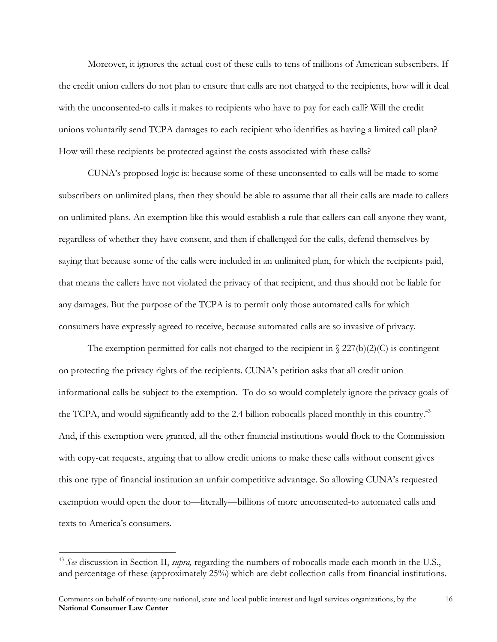Moreover, it ignores the actual cost of these calls to tens of millions of American subscribers. If the credit union callers do not plan to ensure that calls are not charged to the recipients, how will it deal with the unconsented-to calls it makes to recipients who have to pay for each call? Will the credit unions voluntarily send TCPA damages to each recipient who identifies as having a limited call plan? How will these recipients be protected against the costs associated with these calls?

CUNA's proposed logic is: because some of these unconsented-to calls will be made to some subscribers on unlimited plans, then they should be able to assume that all their calls are made to callers on unlimited plans. An exemption like this would establish a rule that callers can call anyone they want, regardless of whether they have consent, and then if challenged for the calls, defend themselves by saying that because some of the calls were included in an unlimited plan, for which the recipients paid, that means the callers have not violated the privacy of that recipient, and thus should not be liable for any damages. But the purpose of the TCPA is to permit only those automated calls for which consumers have expressly agreed to receive, because automated calls are so invasive of privacy.

The exemption permitted for calls not charged to the recipient in  $\frac{227(b)(2)(C)}{25}$  is contingent on protecting the privacy rights of the recipients. CUNA's petition asks that all credit union informational calls be subject to the exemption. To do so would completely ignore the privacy goals of the TCPA, and would significantly add to the 2.4 billion robocalls placed monthly in this country.<sup>43</sup> And, if this exemption were granted, all the other financial institutions would flock to the Commission with copy-cat requests, arguing that to allow credit unions to make these calls without consent gives this one type of financial institution an unfair competitive advantage. So allowing CUNA's requested exemption would open the door to—literally—billions of more unconsented-to automated calls and texts to America's consumers.

<sup>43</sup> *See* discussion in Section II, *supra,* regarding the numbers of robocalls made each month in the U.S., and percentage of these (approximately 25%) which are debt collection calls from financial institutions.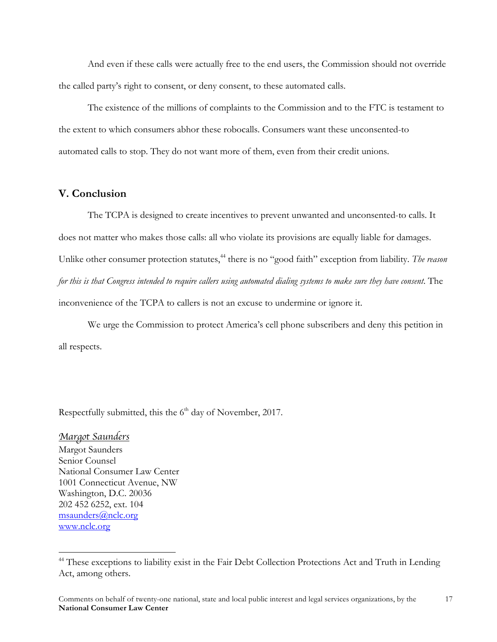And even if these calls were actually free to the end users, the Commission should not override the called party's right to consent, or deny consent, to these automated calls.

The existence of the millions of complaints to the Commission and to the FTC is testament to the extent to which consumers abhor these robocalls. Consumers want these unconsented-to automated calls to stop. They do not want more of them, even from their credit unions.

#### **V. Conclusion**

The TCPA is designed to create incentives to prevent unwanted and unconsented-to calls. It does not matter who makes those calls: all who violate its provisions are equally liable for damages. Unlike other consumer protection statutes,<sup>44</sup> there is no "good faith" exception from liability. *The reason for this is that Congress intended to require callers using automated dialing systems to make sure they have consent*. The inconvenience of the TCPA to callers is not an excuse to undermine or ignore it.

We urge the Commission to protect America's cell phone subscribers and deny this petition in all respects.

Respectfully submitted, this the  $6<sup>th</sup>$  day of November, 2017.

*Margot Saunders*  Margot Saunders Senior Counsel National Consumer Law Center 1001 Connecticut Avenue, NW Washington, D.C. 20036 202 452 6252, ext. 104 msaunders@nclc.org www.nclc.org

<sup>&</sup>lt;sup>44</sup> These exceptions to liability exist in the Fair Debt Collection Protections Act and Truth in Lending Act, among others.